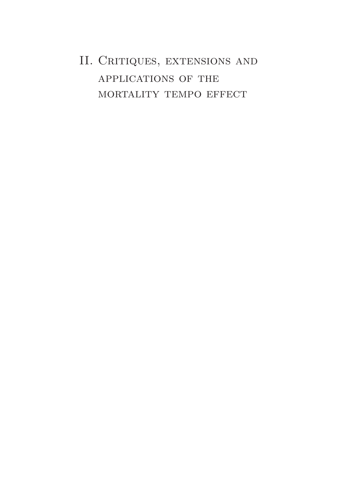# II. CRITIQUES, EXTENSIONS AND applications of the mortality tempo effect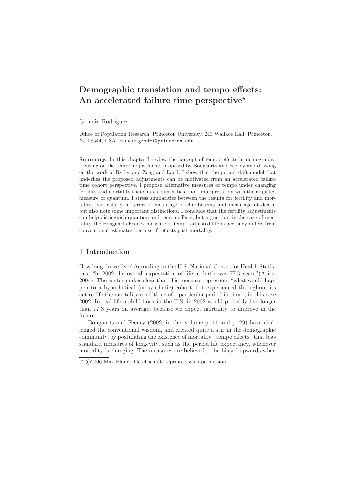# **Demographic translation and tempo effects: An accelerated failure time perspective***-*

Germán Rodríguez

Office of Population Research, Princeton University, 241 Wallace Hall, Princeton, NJ 08544, USA. E-mail: grodri@princeton.edu

**Summary.** In this chapter I review the concept of tempo effects in demography, focusing on the tempo adjustments proposed by Bongaarts and Feeney and drawing on the work of Ryder and Zeng and Land. I show that the period-shift model that underlies the proposed adjustments can be motivated from an accelerated failure time cohort perspective. I propose alternative measures of tempo under changing fertility and mortality that share a synthetic cohort interpretation with the adjusted measure of quantum. I stress similarities between the results for fertility and mortality, particularly in terms of mean age of childbearing and mean age at death, but also note some important distinctions. I conclude that the fertility adjustments can help distinguish quantum and tempo effects, but argue that in the case of mortality the Bongaarts-Feeney measure of tempo-adjusted life expectancy differs from conventional estimates because if reflects past mortality.

# **1 Introduction**

How long do we live? According to the U.S. National Center for Health Statistics, "in 2002 the overall expectation of life at birth was 77.3 years"(Arias, 2004). The center makes clear that this measure represents "what would happen to a hypothetical (or synthetic) cohort if it experienced throughout its entire life the mortality conditions of a particular period in time", in this case 2002. In real life a child born in the U.S. in 2002 would probably live longer than 77.3 years on average, because we expect mortality to improve in the future.

Bongaarts and Feeney (2002, in this volume p. 11 and p. 29) have challenged the conventional wisdom, and created quite a stir in the demographic community, by postulating the existence of mortality "tempo effects" that bias standard measures of longevity, such as the period life expectancy, whenever mortality is changing. The measures are believed to be biased upwards when

 $^\star$   $\odot\rm{2006}$  Max-Planck-Gesellschaft, reprinted with permission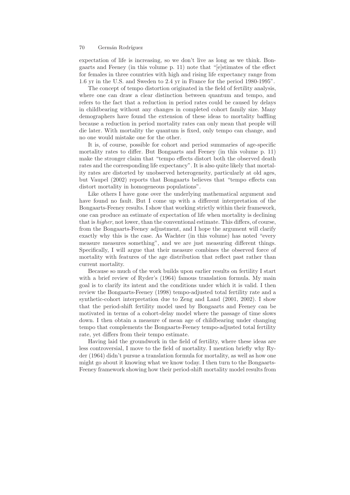expectation of life is increasing, so we don't live as long as we think. Bongaarts and Feeney (in this volume p. 11) note that "[e]stimates of the effect for females in three countries with high and rising life expectancy range from 1.6 yr in the U.S. and Sweden to 2.4 yr in France for the period 1980-1995".

The concept of tempo distortion originated in the field of fertility analysis, where one can draw a clear distinction between quantum and tempo, and refers to the fact that a reduction in period rates could be caused by delays in childbearing without any changes in completed cohort family size. Many demographers have found the extension of these ideas to mortality baffling because a reduction in period mortality rates can only mean that people will die later. With mortality the quantum is fixed, only tempo can change, and no one would mistake one for the other.

It is, of course, possible for cohort and period summaries of age-specific mortality rates to differ. But Bongaarts and Feeney (in this volume p. 11) make the stronger claim that "tempo effects distort both the observed death rates and the corresponding life expectancy". It is also quite likely that mortality rates are distorted by unobserved heterogeneity, particularly at old ages, but Vaupel (2002) reports that Bongaarts believes that "tempo effects can distort mortality in homogeneous populations".

Like others I have gone over the underlying mathematical argument and have found no fault. But I come up with a different interpretation of the Bongaarts-Feeney results. I show that working strictly within their framework, one can produce an estimate of expectation of life when mortality is declining that is higher, not lower, than the conventional estimate. This differs, of course, from the Bongaarts-Feeney adjustment, and I hope the argument will clarify exactly why this is the case. As Wachter (in this volume) has noted "every measure measures something", and we are just measuring different things. Specifically, I will argue that their measure combines the observed force of mortality with features of the age distribution that reflect past rather than current mortality.

Because so much of the work builds upon earlier results on fertility I start with a brief review of Ryder's (1964) famous translation formula. My main goal is to clarify its intent and the conditions under which it is valid. I then review the Bongaarts-Feeney (1998) tempo-adjusted total fertility rate and a synthetic-cohort interpretation due to Zeng and Land (2001, 2002). I show that the period-shift fertility model used by Bongaarts and Feeney can be motivated in terms of a cohort-delay model where the passage of time slows down. I then obtain a measure of mean age of childbearing under changing tempo that complements the Bongaarts-Feeney tempo-adjusted total fertility rate, yet differs from their tempo estimate.

Having laid the groundwork in the field of fertility, where these ideas are less controversial, I move to the field of mortality. I mention briefly why Ryder (1964) didn't pursue a translation formula for mortality, as well as how one might go about it knowing what we know today. I then turn to the Bongaarts-Feeney framework showing how their period-shift mortality model results from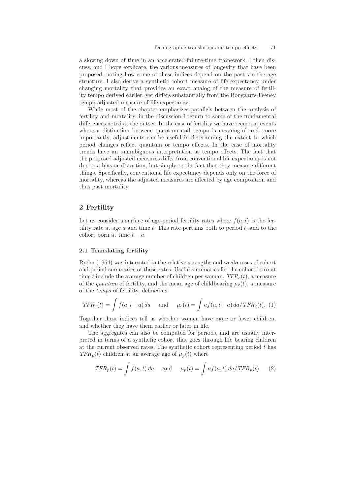a slowing down of time in an accelerated-failure-time framework. I then discuss, and I hope explicate, the various measures of longevity that have been proposed, noting how some of these indices depend on the past via the age structure. I also derive a synthetic cohort measure of life expectancy under changing mortality that provides an exact analog of the measure of fertility tempo derived earlier, yet differs substantially from the Bongaarts-Feeney tempo-adjusted measure of life expectancy.

While most of the chapter emphasizes parallels between the analysis of fertility and mortality, in the discussion I return to some of the fundamental differences noted at the outset. In the case of fertility we have recurrent events where a distinction between quantum and tempo is meaningful and, more importantly, adjustments can be useful in determining the extent to which period changes reflect quantum or tempo effects. In the case of mortality trends have an unambiguous interpretation as tempo effects. The fact that the proposed adjusted measures differ from conventional life expectancy is not due to a bias or distortion, but simply to the fact that they measure different things. Specifically, conventional life expectancy depends only on the force of mortality, whereas the adjusted measures are affected by age composition and thus past mortality.

# **2 Fertility**

Let us consider a surface of age-period fertility rates where  $f(a, t)$  is the fertility rate at age  $a$  and time  $t$ . This rate pertains both to period  $t$ , and to the cohort born at time  $t - a$ .

# **2.1 Translating fertility**

Ryder (1964) was interested in the relative strengths and weaknesses of cohort and period summaries of these rates. Useful summaries for the cohort born at time t include the average number of children per woman,  $TFR_c(t)$ , a measure of the quantum of fertility, and the mean age of childbearing  $\mu_c(t)$ , a measure of the tempo of fertility, defined as

$$
TFR_c(t) = \int f(a, t+a) da \quad \text{and} \quad \mu_c(t) = \int af(a, t+a) da / TFR_c(t). (1)
$$

Together these indices tell us whether women have more or fewer children, and whether they have them earlier or later in life.

The aggregates can also be computed for periods, and are usually interpreted in terms of a synthetic cohort that goes through life bearing children at the current observed rates. The synthetic cohort representing period  $t$  has  $TFR_p(t)$  children at an average age of  $\mu_p(t)$  where

$$
TFR_p(t) = \int f(a, t) da \quad \text{and} \quad \mu_p(t) = \int af(a, t) da / TFR_p(t). \quad (2)
$$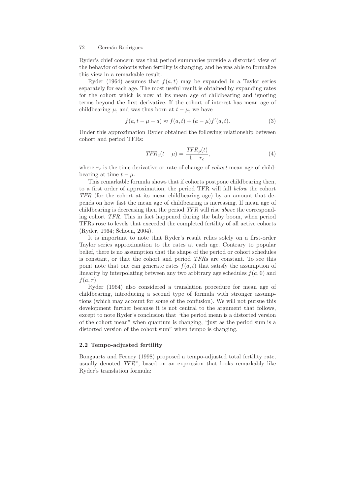Ryder's chief concern was that period summaries provide a distorted view of the behavior of cohorts when fertility is changing, and he was able to formalize this view in a remarkable result.

Ryder (1964) assumes that  $f(a, t)$  may be expanded in a Taylor series separately for each age. The most useful result is obtained by expanding rates for the cohort which is now at its mean age of childbearing and ignoring terms beyond the first derivative. If the cohort of interest has mean age of childbearing  $\mu$ , and was thus born at  $t - \mu$ , we have

$$
f(a, t - \mu + a) \approx f(a, t) + (a - \mu)f'(a, t).
$$
 (3)

Under this approximation Ryder obtained the following relationship between cohort and period TFRs:

$$
TFR_c(t - \mu) = \frac{TFR_p(t)}{1 - r_c},\tag{4}
$$

where  $r_c$  is the time derivative or rate of change of *cohort* mean age of childbearing at time  $t - \mu$ .

This remarkable formula shows that if cohorts postpone childbearing then, to a first order of approximation, the period TFR will fall below the cohort TFR (for the cohort at its mean childbearing age) by an amount that depends on how fast the mean age of childbearing is increasing. If mean age of childbearing is decreasing then the period TFR will rise above the corresponding cohort TFR. This in fact happened during the baby boom, when period TFRs rose to levels that exceeded the completed fertility of all active cohorts (Ryder, 1964; Schoen, 2004).

It is important to note that Ryder's result relies solely on a first-order Taylor series approximation to the rates at each age. Contrary to popular belief, there is no assumption that the shape of the period or cohort schedules is constant, or that the cohort and period TFRs are constant. To see this point note that one can generate rates  $f(a, t)$  that satisfy the assumption of linearity by interpolating between any two arbitrary age schedules  $f(a, 0)$  and  $f(a,\tau)$ .

Ryder (1964) also considered a translation procedure for mean age of childbearing, introducing a second type of formula with stronger assumptions (which may account for some of the confusion). We will not pursue this development further because it is not central to the argument that follows, except to note Ryder's conclusion that "the period mean is a distorted version of the cohort mean" when quantum is changing, "just as the period sum is a distorted version of the cohort sum" when tempo is changing.

# **2.2 Tempo-adjusted fertility**

Bongaarts and Feeney (1998) proposed a tempo-adjusted total fertility rate, usually denoted  $TFR^*$ , based on an expression that looks remarkably like Ryder's translation formula: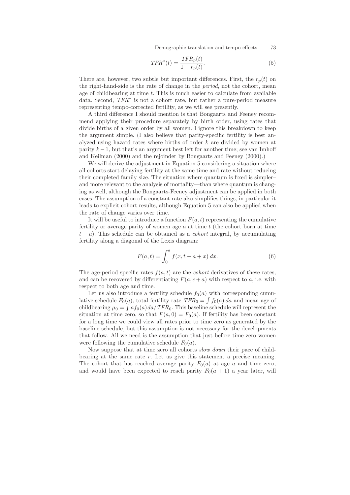Demographic translation and tempo effects 73

$$
TFR^*(t) = \frac{TFR_p(t)}{1 - r_p(t)}.\tag{5}
$$

There are, however, two subtle but important differences. First, the  $r_p(t)$  on the right-hand-side is the rate of change in the period, not the cohort, mean age of childbearing at time  $t$ . This is much easier to calculate from available data. Second, TFR<sup>∗</sup> is not a cohort rate, but rather a pure-period measure representing tempo-corrected fertility, as we will see presently.

A third difference I should mention is that Bongaarts and Feeney recommend applying their procedure separately by birth order, using rates that divide births of a given order by all women. I ignore this breakdown to keep the argument simple. (I also believe that parity-specific fertility is best analyzed using hazard rates where births of order  $k$  are divided by women at parity  $k-1$ , but that's an argument best left for another time; see van Imhoff and Keilman (2000) and the rejoinder by Bongaarts and Feeney (2000).)

We will derive the adjustment in Equation 5 considering a situation where all cohorts start delaying fertility at the same time and rate without reducing their completed family size. The situation where quantum is fixed is simpler– and more relevant to the analysis of mortality—than where quantum is changing as well, although the Bongaarts-Feeney adjustment can be applied in both cases. The assumption of a constant rate also simplifies things, in particular it leads to explicit cohort results, although Equation 5 can also be applied when the rate of change varies over time.

It will be useful to introduce a function  $F(a, t)$  representing the cumulative fertility or average parity of women age  $a$  at time  $t$  (the cohort born at time  $t - a$ ). This schedule can be obtained as a *cohort* integral, by accumulating fertility along a diagonal of the Lexis diagram:

$$
F(a,t) = \int_0^a f(x, t - a + x) \, dx. \tag{6}
$$

The age-period specific rates  $f(a, t)$  are the *cohort* derivatives of these rates, and can be recovered by differentiating  $F(a, c + a)$  with respect to a, i.e. with respect to both age and time.

Let us also introduce a fertility schedule  $f_0(a)$  with corresponding cumulative schedule  $F_0(a)$ , total fertility rate  $TFR_0 = \int f_0(a) da$  and mean age of childbearing  $\mu_0 = \int af_0(a)da / TFR_0$ . This baseline schedule will represent the situation at time zero, so that  $F(a, 0) = F_0(a)$ . If fertility has been constant for a long time we could view all rates prior to time zero as generated by the baseline schedule, but this assumption is not necessary for the developments that follow. All we need is the assumption that just before time zero women were following the cumulative schedule  $F_0(a)$ .

Now suppose that at time zero all cohorts slow down their pace of childbearing at the same rate  $r$ . Let us give this statement a precise meaning. The cohort that has reached average parity  $F_0(a)$  at age a and time zero, and would have been expected to reach parity  $F_0(a + 1)$  a year later, will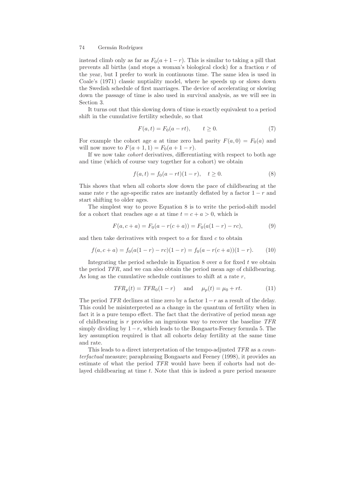instead climb only as far as  $F_0(a+1-r)$ . This is similar to taking a pill that prevents all births (and stops a woman's biological clock) for a fraction  $r$  of the year, but I prefer to work in continuous time. The same idea is used in Coale's (1971) classic nuptiality model, where he speeds up or slows down the Swedish schedule of first marriages. The device of accelerating or slowing down the passage of time is also used in survival analysis, as we will see in Section 3.

It turns out that this slowing down of time is exactly equivalent to a period shift in the cumulative fertility schedule, so that

$$
F(a,t) = F_0(a - rt), \qquad t \ge 0.
$$
\n<sup>(7)</sup>

For example the cohort age a at time zero had parity  $F(a, 0) = F_0(a)$  and will now move to  $F(a + 1, 1) = F_0(a + 1 - r)$ .

If we now take cohort derivatives, differentiating with respect to both age and time (which of course vary together for a cohort) we obtain

$$
f(a,t) = f_0(a - rt)(1 - r), \quad t \ge 0.
$$
 (8)

This shows that when all cohorts slow down the pace of childbearing at the same rate r the age-specific rates are instantly deflated by a factor  $1 - r$  and start shifting to older ages.

The simplest way to prove Equation 8 is to write the period-shift model for a cohort that reaches age a at time  $t = c + a > 0$ , which is

$$
F(a, c + a) = F_0(a - r(c + a)) = F_0(a(1 - r) - rc),
$$
\n(9)

and then take derivatives with respect to  $a$  for fixed  $c$  to obtain

$$
f(a, c + a) = f_0(a(1 - r) - rc)(1 - r) = f_0(a - r(c + a))(1 - r).
$$
 (10)

Integrating the period schedule in Equation 8 over  $\alpha$  for fixed  $t$  we obtain the period TFR, and we can also obtain the period mean age of childbearing. As long as the cumulative schedule continues to shift at a rate  $r$ ,

$$
TFR_p(t) = TFR_0(1 - r) \quad \text{and} \quad \mu_p(t) = \mu_0 + rt. \tag{11}
$$

The period  $TFR$  declines at time zero by a factor  $1-r$  as a result of the delay. This could be misinterpreted as a change in the quantum of fertility when in fact it is a pure tempo effect. The fact that the derivative of period mean age of childbearing is r provides an ingenious way to recover the baseline  $TFR$ simply dividing by  $1-r$ , which leads to the Bongaarts-Feeney formula 5. The key assumption required is that all cohorts delay fertility at the same time and rate.

This leads to a direct interpretation of the tempo-adjusted TFR as a counterfactual measure; paraphrasing Bongaarts and Feeney (1998), it provides an estimate of what the period TFR would have been if cohorts had not delayed childbearing at time t. Note that this is indeed a pure period measure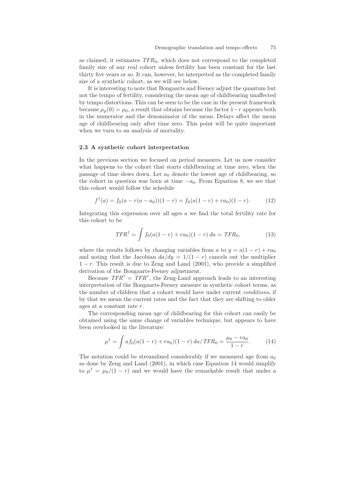as claimed; it estimates  $TFR_0$ , which does not correspond to the completed family size of any real cohort unless fertility has been constant for the last thirty five years or so. It can, however, be interpreted as the completed family size of a synthetic cohort, as we will see below.

It is interesting to note that Bongaarts and Feeney adjust the quantum but not the tempo of fertility, considering the mean age of childbearing unaffected by tempo distortions. This can be seen to be the case in the present framework because  $\mu_p(0) = \mu_0$ , a result that obtains because the factor  $1-r$  appears both in the numerator and the denominator of the mean. Delays affect the mean age of childbearing only after time zero. This point will be quite important when we turn to an analysis of mortality.

#### **2.3 A synthetic cohort interpretation**

In the previous section we focused on period measures. Let us now consider what happens to the cohort that starts childbearing at time zero, when the passage of time slows down. Let  $a_0$  denote the lowest age of childbearing, so the cohort in question was born at time  $-a_0$ . From Equation 8, we see that this cohort would follow the schedule

$$
f^{\dagger}(a) = f_0(a - r(a - a_0))(1 - r) = f_0(a(1 - r) + ra_0)(1 - r).
$$
 (12)

Integrating this expression over all ages a we find the total fertility rate for this cohort to be

$$
TFR^{\dagger} = \int f_0(a(1-r) + ra_0)(1-r) \, da = TFR_0,\tag{13}
$$

where the results follows by changing variables from a to  $y = a(1 - r) + ra_0$ and noting that the Jacobian  $da/dy = 1/(1 - r)$  cancels out the multiplier  $1 - r$ . This result is due to Zeng and Land (2001), who provide a simplified derivation of the Bongaarts-Feeney adjustment.

Because  $TFR^{\dagger} = TFR^*$ , the Zeng-Land approach leads to an interesting interpretation of the Bongaarts-Feeney measure in synthetic cohort terms, as the number of children that a cohort would have under current conditions, if by that we mean the current rates and the fact that they are shifting to older ages at a constant rate r.

The corresponding mean age of childbearing for this cohort can easily be obtained using the same change of variables technique, but appears to have been overlooked in the literature:

$$
\mu^{\dagger} = \int af_0(a(1-r) + ra_0)(1-r) \, da / TFR_0 = \frac{\mu_0 - ra_0}{1-r}.\tag{14}
$$

The notation could be streamlined considerably if we measured age from  $a_0$ as done by Zeng and Land (2001), in which case Equation 14 would simplify to  $\mu^{\dagger} = \mu_0/(1-r)$  and we would have the remarkable result that under a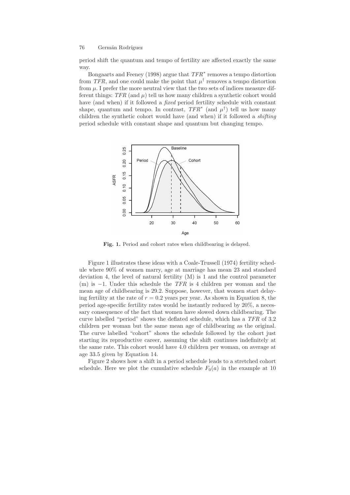period shift the quantum and tempo of fertility are affected exactly the same way.

Bongaarts and Feeney (1998) argue that  $TFR^*$  removes a tempo distortion from TFR, and one could make the point that  $\mu^{\dagger}$  removes a tempo distortion from  $\mu$ . I prefer the more neutral view that the two sets of indices measure different things:  $TFR$  (and  $\mu$ ) tell us how many children a synthetic cohort would have (and when) if it followed a *fixed* period fertility schedule with constant shape, quantum and tempo. In contrast,  $TFR^*$  (and  $\mu^{\dagger}$ ) tell us how many children the synthetic cohort would have (and when) if it followed a shifting period schedule with constant shape and quantum but changing tempo.



**Fig. 1.** Period and cohort rates when childbearing is delayed.

Figure 1 illustrates these ideas with a Coale-Trussell (1974) fertility schedule where 90% of women marry, age at marriage has mean 23 and standard deviation 4, the level of natural fertility (M) is 1 and the control parameter (m) is  $-1$ . Under this schedule the TFR is 4 children per woman and the mean age of childbearing is 29.2. Suppose, however, that women start delaying fertility at the rate of  $r = 0.2$  years per year. As shown in Equation 8, the period age-specific fertility rates would be instantly reduced by 20%, a necessary consequence of the fact that women have slowed down childbearing. The curve labelled "period" shows the deflated schedule, which has a TFR of 3.2 children per woman but the same mean age of childbearing as the original. The curve labelled "cohort" shows the schedule followed by the cohort just starting its reproductive career, assuming the shift continues indefinitely at the same rate. This cohort would have 4.0 children per woman, on average at age 33.5 given by Equation 14.

Figure 2 shows how a shift in a period schedule leads to a stretched cohort schedule. Here we plot the cumulative schedule  $F_0(a)$  in the example at 10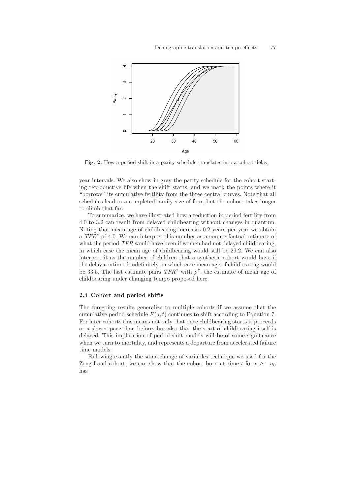

**Fig. 2.** How a period shift in a parity schedule translates into a cohort delay.

year intervals. We also show in gray the parity schedule for the cohort starting reproductive life when the shift starts, and we mark the points where it "borrows" its cumulative fertility from the three central curves. Note that all schedules lead to a completed family size of four, but the cohort takes longer to climb that far.

To summarize, we have illustrated how a reduction in period fertility from 4.0 to 3.2 can result from delayed childbearing without changes in quantum. Noting that mean age of childbearing increases 0.2 years per year we obtain a TFR<sup>∗</sup> of 4.0. We can interpret this number as a counterfactual estimate of what the period TFR would have been if women had not delayed childbearing, in which case the mean age of childbearing would still be 29.2. We can also interpret it as the number of children that a synthetic cohort would have if the delay continued indefinitely, in which case mean age of childbearing would be 33.5. The last estimate pairs  $TFR^*$  with  $\mu^{\dagger}$ , the estimate of mean age of childbearing under changing tempo proposed here.

#### **2.4 Cohort and period shifts**

The foregoing results generalize to multiple cohorts if we assume that the cumulative period schedule  $F(a, t)$  continues to shift according to Equation 7. For later cohorts this means not only that once childbearing starts it proceeds at a slower pace than before, but also that the start of childbearing itself is delayed. This implication of period-shift models will be of some significance when we turn to mortality, and represents a departure from accelerated failure time models.

Following exactly the same change of variables technique we used for the Zeng-Land cohort, we can show that the cohort born at time t for  $t \ge -a_0$ has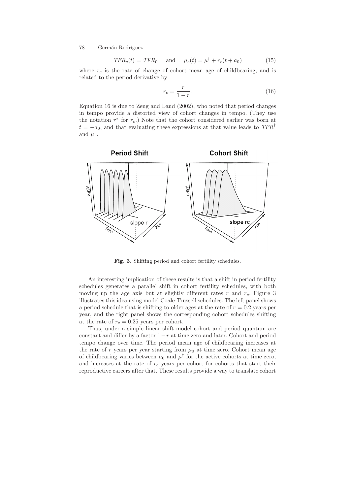$$
TFR_c(t) = TFR_0 \quad \text{and} \quad \mu_c(t) = \mu^{\dagger} + r_c(t + a_0) \tag{15}
$$

where  $r_c$  is the rate of change of cohort mean age of childbearing, and is related to the period derivative by

$$
r_c = \frac{r}{1 - r}.\tag{16}
$$

Equation 16 is due to Zeng and Land (2002), who noted that period changes in tempo provide a distorted view of cohort changes in tempo. (They use the notation  $r^*$  for  $r_c$ .) Note that the cohort considered earlier was born at  $t = -a_0$ , and that evaluating these expressions at that value leads to  $TFR^{\dagger}$ and  $\mu^{\dagger}$ .



**Fig. 3.** Shifting period and cohort fertility schedules.

An interesting implication of these results is that a shift in period fertility schedules generates a parallel shift in cohort fertility schedules, with both moving up the age axis but at slightly different rates  $r$  and  $r_c$ . Figure 3 illustrates this idea using model Coale-Trussell schedules. The left panel shows a period schedule that is shifting to older ages at the rate of  $r = 0.2$  years per year, and the right panel shows the corresponding cohort schedules shifting at the rate of  $r_c = 0.25$  years per cohort.

Thus, under a simple linear shift model cohort and period quantum are constant and differ by a factor  $1-r$  at time zero and later. Cohort and period tempo change over time. The period mean age of childbearing increases at the rate of r years per year starting from  $\mu_0$  at time zero. Cohort mean age of childbearing varies between  $\mu_0$  and  $\mu^{\dagger}$  for the active cohorts at time zero, and increases at the rate of  $r_c$  years per cohort for cohorts that start their reproductive careers after that. These results provide a way to translate cohort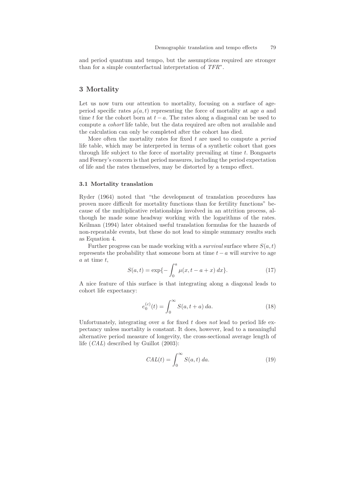and period quantum and tempo, but the assumptions required are stronger than for a simple counterfactual interpretation of TFR∗.

# **3 Mortality**

Let us now turn our attention to mortality, focusing on a surface of ageperiod specific rates  $\mu(a, t)$  representing the force of mortality at age a and time t for the cohort born at  $t - a$ . The rates along a diagonal can be used to compute a cohort life table, but the data required are often not available and the calculation can only be completed after the cohort has died.

More often the mortality rates for fixed  $t$  are used to compute a *period* life table, which may be interpreted in terms of a synthetic cohort that goes through life subject to the force of mortality prevailing at time  $t$ . Bongaarts and Feeney's concern is that period measures, including the period expectation of life and the rates themselves, may be distorted by a tempo effect.

# **3.1 Mortality translation**

Ryder (1964) noted that "the development of translation procedures has proven more difficult for mortality functions than for fertility functions" because of the multiplicative relationships involved in an attrition process, although he made some headway working with the logarithms of the rates. Keilman (1994) later obtained useful translation formulas for the hazards of non-repeatable events, but these do not lead to simple summary results such as Equation 4.

Further progress can be made working with a *survival* surface where  $S(a, t)$ represents the probability that someone born at time  $t - a$  will survive to age a at time t,

$$
S(a,t) = \exp\{-\int_0^a \mu(x, t - a + x) \, dx\}.
$$
 (17)

A nice feature of this surface is that integrating along a diagonal leads to cohort life expectancy:

$$
e_0^{(c)}(t) = \int_0^\infty S(a, t + a) \, da. \tag{18}
$$

Unfortunately, integrating over  $a$  for fixed  $t$  does not lead to period life expectancy unless mortality is constant. It does, however, lead to a meaningful alternative period measure of longevity, the cross-sectional average length of life (CAL) described by Guillot (2003):

$$
CAL(t) = \int_0^\infty S(a, t) \, da. \tag{19}
$$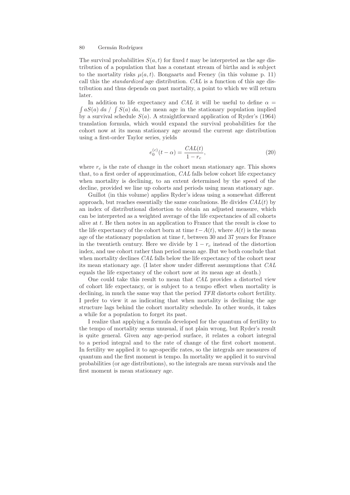The survival probabilities  $S(a, t)$  for fixed t may be interpreted as the age distribution of a population that has a constant stream of births and is subject to the mortality risks  $\mu(a, t)$ . Bongaarts and Feeney (in this volume p. 11) call this the standardized age distribution. CAL is a function of this age distribution and thus depends on past mortality, a point to which we will return later.

In addition to life expectancy and CAL it will be useful to define  $\alpha =$  $\int aS(a) da / \int S(a) da$ , the mean age in the stationary population implied by a survival schedule  $S(a)$ . A straightforward application of Ryder's (1964) translation formula, which would expand the survival probabilities for the cohort now at its mean stationary age around the current age distribution using a first-order Taylor series, yields

$$
e_0^{(c)}(t - \alpha) = \frac{CAL(t)}{1 - r_c},
$$
\n(20)

where  $r_c$  is the rate of change in the cohort mean stationary age. This shows that, to a first order of approximation, CAL falls below cohort life expectancy when mortality is declining, to an extent determined by the speed of the decline, provided we line up cohorts and periods using mean stationary age.

Guillot (in this volume) applies Ryder's ideas using a somewhat different approach, but reaches essentially the same conclusions. He divides  $CAL(t)$  by an index of distributional distortion to obtain an adjusted measure, which can be interpreted as a weighted average of the life expectancies of all cohorts alive at  $t$ . He then notes in an application to France that the result is close to the life expectancy of the cohort born at time  $t-A(t)$ , where  $A(t)$  is the mean age of the stationary population at time t, between 30 and 37 years for France in the twentieth century. Here we divide by  $1 - r_c$  instead of the distortion index, and use cohort rather than period mean age. But we both conclude that when mortality declines CAL falls below the life expectancy of the cohort near its mean stationary age. (I later show under different assumptions that CAL equals the life expectancy of the cohort now at its mean age at death.)

One could take this result to mean that CAL provides a distorted view of cohort life expectancy, or is subject to a tempo effect when mortality is declining, in much the same way that the period TFR distorts cohort fertility. I prefer to view it as indicating that when mortality is declining the age structure lags behind the cohort mortality schedule. In other words, it takes a while for a population to forget its past.

I realize that applying a formula developed for the quantum of fertility to the tempo of mortality seems unusual, if not plain wrong, but Ryder's result is quite general. Given any age-period surface, it relates a cohort integral to a period integral and to the rate of change of the first cohort moment. In fertility we applied it to age-specific rates, so the integrals are measures of quantum and the first moment is tempo. In mortality we applied it to survival probabilities (or age distributions), so the integrals are mean survivals and the first moment is mean stationary age.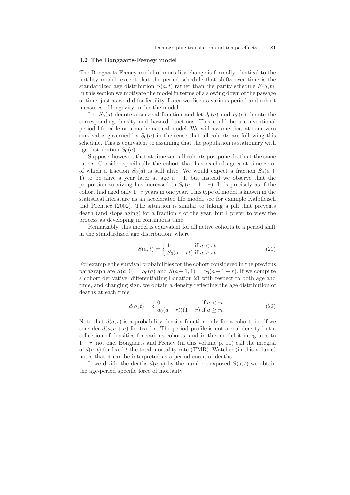# **3.2 The Bongaarts-Feeney model**

The Bongaarts-Feeney model of mortality change is formally identical to the fertility model, except that the period schedule that shifts over time is the standardized age distribution  $S(a, t)$  rather than the parity schedule  $F(a, t)$ . In this section we motivate the model in terms of a slowing down of the passage of time, just as we did for fertility. Later we discuss various period and cohort measures of longevity under the model.

Let  $S_0(a)$  denote a survival function and let  $d_0(a)$  and  $\mu_0(a)$  denote the corresponding density and hazard functions. This could be a conventional period life table or a mathematical model. We will assume that at time zero survival is governed by  $S_0(a)$  in the sense that all cohorts are following this schedule. This is equivalent to assuming that the population is stationary with age distribution  $S_0(a)$ .

Suppose, however, that at time zero all cohorts postpone death at the same rate  $r$ . Consider specifically the cohort that has reached age  $a$  at time zero, of which a fraction  $S_0(a)$  is still alive. We would expect a fraction  $S_0(a +$ 1) to be alive a year later at age  $a + 1$ , but instead we observe that the proportion surviving has increased to  $S_0(a+1-r)$ . It is precisely as if the cohort had aged only 1−r years in one year. This type of model is known in the statistical literature as an accelerated life model, see for example Kalbfleisch and Prentice (2002). The situation is similar to taking a pill that prevents death (and stops aging) for a fraction  $r$  of the year, but I prefer to view the process as developing in continuous time.

Remarkably, this model is equivalent for all active cohorts to a period shift in the standardized age distribution, where

$$
S(a,t) = \begin{cases} 1 & \text{if } a < rt \\ S_0(a-rt) & \text{if } a \ge rt \end{cases}
$$
 (21)

For example the survival probabilities for the cohort considered in the previous paragraph are  $S(a, 0) = S_0(a)$  and  $S(a + 1, 1) = S_0(a + 1 - r)$ . If we compute a cohort derivative, differentiating Equation 21 with respect to both age and time, and changing sign, we obtain a density reflecting the age distribution of deaths at each time

$$
d(a,t) = \begin{cases} 0 & \text{if } a < rt \\ d_0(a-rt)(1-r) & \text{if } a \ge rt. \end{cases}
$$
 (22)

Note that  $d(a, t)$  is a probability density function only for a cohort, i.e. if we consider  $d(a, c + a)$  for fixed c. The period profile is not a real density but a collection of densities for various cohorts, and in this model it integrates to  $1 - r$ , not one. Bongaarts and Feeney (in this volume p. 11) call the integral of  $d(a, t)$  for fixed t the total mortality rate (TMR). Watcher (in this volume) notes that it can be interpreted as a period count of deaths.

If we divide the deaths  $d(a, t)$  by the numbers exposed  $S(a, t)$  we obtain the age-period specific force of mortality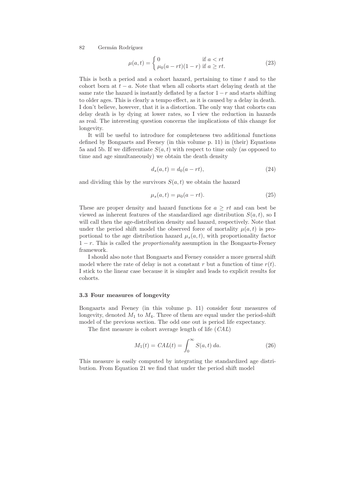$$
\mu(a,t) = \begin{cases} 0 & \text{if } a < rt \\ \mu_0(a - rt)(1 - r) & \text{if } a \ge rt. \end{cases}
$$
\n(23)

This is both a period and a cohort hazard, pertaining to time  $t$  and to the cohort born at  $t - a$ . Note that when all cohorts start delaying death at the same rate the hazard is instantly deflated by a factor  $1 - r$  and starts shifting to older ages. This is clearly a tempo effect, as it is caused by a delay in death. I don't believe, however, that it is a distortion. The only way that cohorts can delay death is by dying at lower rates, so I view the reduction in hazards as real. The interesting question concerns the implications of this change for longevity.

It will be useful to introduce for completeness two additional functions defined by Bongaarts and Feeney (in this volume p. 11) in (their) Equations 5a and 5b. If we differentiate  $S(a, t)$  with respect to time only (as opposed to time and age simultaneously) we obtain the death density

$$
d_s(a, t) = d_0(a - rt),
$$
\n(24)

and dividing this by the survivors  $S(a, t)$  we obtain the hazard

$$
\mu_s(a, t) = \mu_0(a - rt). \tag{25}
$$

These are proper density and hazard functions for  $a \geq rt$  and can best be viewed as inherent features of the standardized age distribution  $S(a, t)$ , so I will call then the age-distribution density and hazard, respectively. Note that under the period shift model the observed force of mortality  $\mu(a, t)$  is proportional to the age distribution hazard  $\mu_s(a, t)$ , with proportionality factor  $1 - r$ . This is called the *proportionality* assumption in the Bongaarts-Feeney framework.

I should also note that Bongaarts and Feeney consider a more general shift model where the rate of delay is not a constant r but a function of time  $r(t)$ . I stick to the linear case because it is simpler and leads to explicit results for cohorts.

# **3.3 Four measures of longevity**

Bongaarts and Feeney (in this volume p. 11) consider four measures of longevity, denoted  $M_1$  to  $M_4$ . Three of them are equal under the period-shift model of the previous section. The odd one out is period life expectancy.

The first measure is cohort average length of life (CAL)

$$
M_1(t) = CAL(t) = \int_0^\infty S(a, t) \, da. \tag{26}
$$

This measure is easily computed by integrating the standardized age distribution. From Equation 21 we find that under the period shift model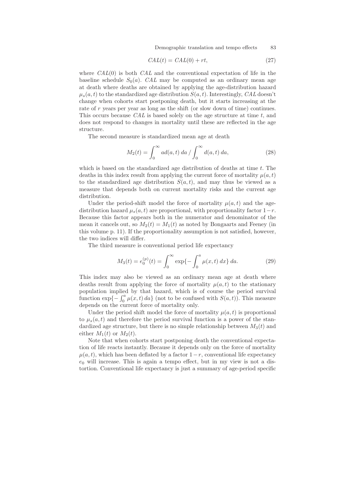Demographic translation and tempo effects 83

$$
CAL(t) = CAL(0) + rt,
$$
\n(27)

where  $CAL(0)$  is both  $CAL$  and the conventional expectation of life in the baseline schedule  $S_0(a)$ . CAL may be computed as an ordinary mean age at death where deaths are obtained by applying the age-distribution hazard  $\mu_s(a, t)$  to the standardized age distribution  $S(a, t)$ . Interestingly, CAL doesn't change when cohorts start postponing death, but it starts increasing at the rate of r years per year as long as the shift (or slow down of time) continues. This occurs because CAL is based solely on the age structure at time t, and does not respond to changes in mortality until these are reflected in the age structure.

The second measure is standardized mean age at death

$$
M_2(t) = \int_0^\infty a d(a, t) \, da / \int_0^\infty d(a, t) \, da,\tag{28}
$$

which is based on the standardized age distribution of deaths at time  $t$ . The deaths in this index result from applying the current force of mortality  $\mu(a, t)$ to the standardized age distribution  $S(a, t)$ , and may thus be viewed as a measure that depends both on current mortality risks and the current age distribution.

Under the period-shift model the force of mortality  $\mu(a, t)$  and the agedistribution hazard  $\mu_s(a, t)$  are proportional, with proportionality factor  $1-r$ . Because this factor appears both in the numerator and denominator of the mean it cancels out, so  $M_2(t) = M_1(t)$  as noted by Bongaarts and Feeney (in this volume p. 11). If the proportionality assumption is not satisfied, however, the two indices will differ.

The third measure is conventional period life expectancy

$$
M_3(t) = e_0^{(p)}(t) = \int_0^\infty \exp\{-\int_0^a \mu(x, t) \, dx\} \, da. \tag{29}
$$

This index may also be viewed as an ordinary mean age at death where deaths result from applying the force of mortality  $\mu(a, t)$  to the stationary population implied by that hazard, which is of course the period survival function  $\exp\{-\int_0^a \mu(x,t) \, da\}$  (not to be confused with  $S(a,t)$ ). This measure depends on the current force of mortality only.

Under the period shift model the force of mortality  $\mu(a, t)$  is proportional to  $\mu_s(a, t)$  and therefore the period survival function is a power of the standardized age structure, but there is no simple relationship between  $M_3(t)$  and either  $M_1(t)$  or  $M_2(t)$ .

Note that when cohorts start postponing death the conventional expectation of life reacts instantly. Because it depends only on the force of mortality  $\mu(a, t)$ , which has been deflated by a factor  $1-r$ , conventional life expectancy  $e_0$  will increase. This is again a tempo effect, but in my view is not a distortion. Conventional life expectancy is just a summary of age-period specific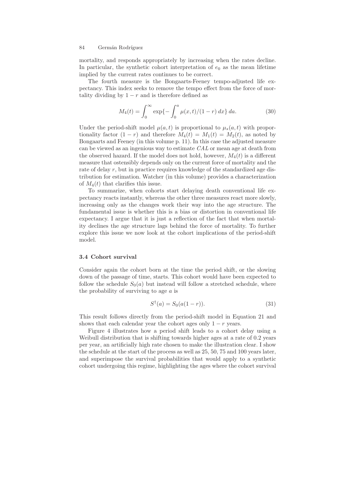mortality, and responds appropriately by increasing when the rates decline. In particular, the synthetic cohort interpretation of  $e_0$  as the mean lifetime implied by the current rates continues to be correct.

The fourth measure is the Bongaarts-Feeney tempo-adjusted life expectancy. This index seeks to remove the tempo effect from the force of mortality dividing by  $1 - r$  and is therefore defined as

$$
M_4(t) = \int_0^\infty \exp\{-\int_0^a \mu(x, t)/(1 - r) \, dx\} \, da. \tag{30}
$$

Under the period-shift model  $\mu(a, t)$  is proportional to  $\mu_s(a, t)$  with proportionality factor  $(1 - r)$  and therefore  $M_4(t) = M_1(t) = M_2(t)$ , as noted by Bongaarts and Feeney (in this volume p. 11). In this case the adjusted measure can be viewed as an ingenious way to estimate CAL or mean age at death from the observed hazard. If the model does not hold, however,  $M_4(t)$  is a different measure that ostensibly depends only on the current force of mortality and the rate of delay r, but in practice requires knowledge of the standardized age distribution for estimation. Watcher (in this volume) provides a characterization of  $M_4(t)$  that clarifies this issue.

To summarize, when cohorts start delaying death conventional life expectancy reacts instantly, whereas the other three measures react more slowly, increasing only as the changes work their way into the age structure. The fundamental issue is whether this is a bias or distortion in conventional life expectancy. I argue that it is just a reflection of the fact that when mortality declines the age structure lags behind the force of mortality. To further explore this issue we now look at the cohort implications of the period-shift model.

#### **3.4 Cohort survival**

Consider again the cohort born at the time the period shift, or the slowing down of the passage of time, starts. This cohort would have been expected to follow the schedule  $S_0(a)$  but instead will follow a stretched schedule, where the probability of surviving to age  $\alpha$  is

$$
S^{\dagger}(a) = S_0(a(1 - r)). \tag{31}
$$

This result follows directly from the period-shift model in Equation 21 and shows that each calendar year the cohort ages only  $1 - r$  years.

Figure 4 illustrates how a period shift leads to a cohort delay using a Weibull distribution that is shifting towards higher ages at a rate of 0.2 years per year, an artificially high rate chosen to make the illustration clear. I show the schedule at the start of the process as well as 25, 50, 75 and 100 years later, and superimpose the survival probabilities that would apply to a synthetic cohort undergoing this regime, highlighting the ages where the cohort survival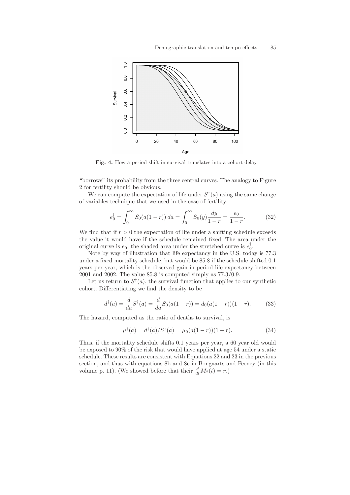

**Fig. 4.** How a period shift in survival translates into a cohort delay.

"borrows" its probability from the three central curves. The analogy to Figure 2 for fertility should be obvious.

We can compute the expectation of life under  $S^{\dagger}(a)$  using the same change of variables technique that we used in the case of fertility:

$$
e_0^{\dagger} = \int_0^{\infty} S_0(a(1-r)) \, da = \int_0^{\infty} S_0(y) \frac{dy}{1-r} = \frac{e_0}{1-r}.\tag{32}
$$

We find that if  $r > 0$  the expectation of life under a shifting schedule exceeds the value it would have if the schedule remained fixed. The area under the original curve is  $e_0$ , the shaded area under the stretched curve is  $e_0^{\dagger}$ .

Note by way of illustration that life expectancy in the U.S. today is 77.3 under a fixed mortality schedule, but would be 85.8 if the schedule shifted 0.1 years per year, which is the observed gain in period life expectancy between 2001 and 2002. The value 85.8 is computed simply as 77.3/0.9.

Let us return to  $S^{\dagger}(a)$ , the survival function that applies to our synthetic cohort. Differentiating we find the density to be

$$
d^{\dagger}(a) = \frac{d}{da}S^{\dagger}(a) = \frac{d}{da}S_0(a(1-r)) = d_0(a(1-r))(1-r).
$$
 (33)

The hazard, computed as the ratio of deaths to survival, is

$$
\mu^{\dagger}(a) = d^{\dagger}(a)/S^{\dagger}(a) = \mu_0(a(1-r))(1-r). \tag{34}
$$

Thus, if the mortality schedule shifts 0.1 years per year, a 60 year old would be exposed to 90% of the risk that would have applied at age 54 under a static schedule. These results are consistent with Equations 22 and 23 in the previous section, and thus with equations 8b and 8c in Bongaarts and Feeney (in this volume p. 11). (We showed before that their  $\frac{d}{dt}M_2(t) = r$ .)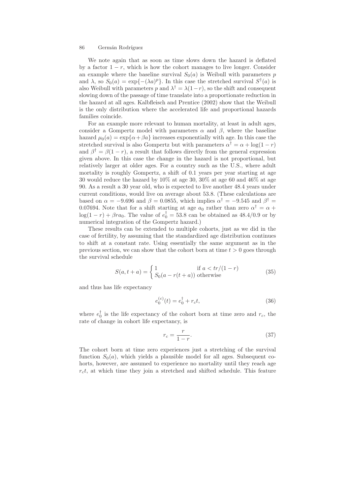We note again that as soon as time slows down the hazard is deflated by a factor  $1 - r$ , which is how the cohort manages to live longer. Consider an example where the baseline survival  $S_0(a)$  is Weibull with parameters p and  $\lambda$ , so  $S_0(a) = \exp\{- (\lambda a)^p\}$ . In this case the stretched survival  $S^{\dagger}(a)$  is also Weibull with parameters p and  $\lambda^{\dagger} = \lambda(1-r)$ , so the shift and consequent slowing down of the passage of time translate into a proportionate reduction in the hazard at all ages. Kalbfleisch and Prentice (2002) show that the Weibull is the only distribution where the accelerated life and proportional hazards families coincide.

For an example more relevant to human mortality, at least in adult ages, consider a Gompertz model with parameters  $\alpha$  and  $\beta$ , where the baseline hazard  $\mu_0(a) = \exp{\{\alpha + \beta a\}}$  increases exponentially with age. In this case the stretched survival is also Gompertz but with parameters  $\alpha^{\dagger} = \alpha + \log(1 - r)$ and  $\beta^{\dagger} = \beta(1 - r)$ , a result that follows directly from the general expression given above. In this case the change in the hazard is not proportional, but relatively larger at older ages. For a country such as the U.S., where adult mortality is roughly Gompertz, a shift of 0.1 years per year starting at age 30 would reduce the hazard by 10% at age 30, 30% at age 60 and 46% at age 90. As a result a 30 year old, who is expected to live another 48.4 years under current conditions, would live on average about 53.8. (These calculations are based on  $\alpha = -9.696$  and  $\beta = 0.0855$ , which implies  $\alpha^{\dagger} = -9.545$  and  $\beta^{\dagger} =$ 0.07694. Note that for a shift starting at age  $a_0$  rather than zero  $\alpha^{\dagger} = \alpha +$  $log(1-r) + \beta ra_0$ . The value of  $e_0^{\dagger} = 53.8$  can be obtained as  $48.4/0.9$  or by numerical integration of the Gompertz hazard.)

These results can be extended to multiple cohorts, just as we did in the case of fertility, by assuming that the standardized age distribution continues to shift at a constant rate. Using essentially the same argument as in the previous section, we can show that the cohort born at time  $t > 0$  goes through the survival schedule

$$
S(a, t + a) = \begin{cases} 1 & \text{if } a < \frac{tr}{1 - r} \\ S_0(a - r(t + a)) & \text{otherwise} \end{cases} \tag{35}
$$

and thus has life expectancy

$$
e_0^{(c)}(t) = e_0^{\dagger} + r_c t,\tag{36}
$$

where  $e_0^{\dagger}$  is the life expectancy of the cohort born at time zero and  $r_c$ , the rate of change in cohort life expectancy, is

$$
r_c = \frac{r}{1 - r}.\tag{37}
$$

The cohort born at time zero experiences just a stretching of the survival function  $S_0(a)$ , which yields a plausible model for all ages. Subsequent cohorts, however, are assumed to experience no mortality until they reach age  $r_c t$ , at which time they join a stretched and shifted schedule. This feature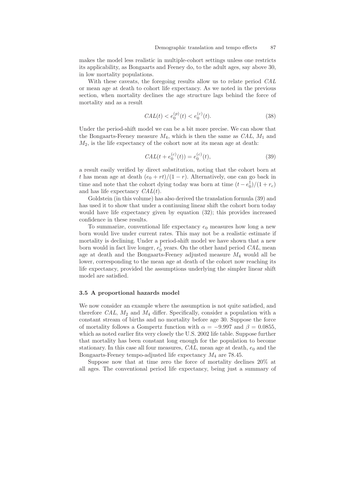makes the model less realistic in multiple-cohort settings unless one restricts its applicability, as Bongaarts and Feeney do, to the adult ages, say above 30, in low mortality populations.

With these caveats, the foregoing results allow us to relate period CAL or mean age at death to cohort life expectancy. As we noted in the previous section, when mortality declines the age structure lags behind the force of mortality and as a result

$$
CAL(t) < e_0^{(p)}(t) < e_0^{(c)}(t). \tag{38}
$$

Under the period-shift model we can be a bit more precise. We can show that the Bongaarts-Feeney measure  $M_4$ , which is then the same as  $CAL, M_1$  and  $M_2$ , is the life expectancy of the cohort now at its mean age at death:

$$
CAL(t + e_0^{(c)}(t)) = e_0^{(c)}(t),
$$
\n(39)

a result easily verified by direct substitution, noting that the cohort born at t has mean age at death  $(e_0 + rt)/(1 - r)$ . Alternatively, one can go back in time and note that the cohort dying today was born at time  $(t - e_0^T)/(1 + r_c)$ and has life expectancy  $CAL(t)$ .

Goldstein (in this volume) has also derived the translation formula (39) and has used it to show that under a continuing linear shift the cohort born today would have life expectancy given by equation (32); this provides increased confidence in these results.

To summarize, conventional life expectancy  $e_0$  measures how long a new born would live under current rates. This may not be a realistic estimate if mortality is declining. Under a period-shift model we have shown that a new born would in fact live longer,  $e_0^{\dagger}$  years. On the other hand period *CAL*, mean age at death and the Bongaarts-Feeney adjusted measure  $M_4$  would all be lower, corresponding to the mean age at death of the cohort now reaching its life expectancy, provided the assumptions underlying the simpler linear shift model are satisfied.

#### **3.5 A proportional hazards model**

We now consider an example where the assumption is not quite satisfied, and therefore CAL,  $M_2$  and  $M_4$  differ. Specifically, consider a population with a constant stream of births and no mortality before age 30. Suppose the force of mortality follows a Gompertz function with  $\alpha = -9.997$  and  $\beta = 0.0855$ , which as noted earlier fits very closely the U.S. 2002 life table. Suppose further that mortality has been constant long enough for the population to become stationary. In this case all four measures,  $CAL$ , mean age at death,  $e_0$  and the Bongaarts-Feeney tempo-adjusted life expectancy  $M_4$  are 78.45.

Suppose now that at time zero the force of mortality declines 20% at all ages. The conventional period life expectancy, being just a summary of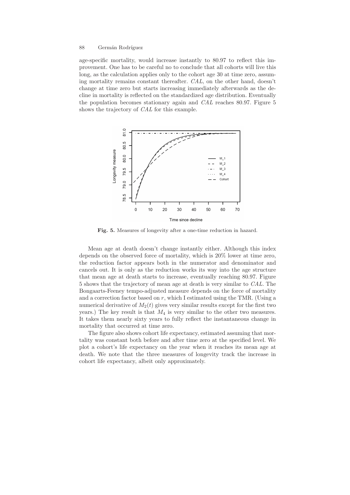age-specific mortality, would increase instantly to 80.97 to reflect this improvement. One has to be careful no to conclude that all cohorts will live this long, as the calculation applies only to the cohort age 30 at time zero, assuming mortality remains constant thereafter. CAL, on the other hand, doesn't change at time zero but starts increasing immediately afterwards as the decline in mortality is reflected on the standardized age distribution. Eventually the population becomes stationary again and CAL reaches 80.97. Figure 5 shows the trajectory of CAL for this example.



**Fig. 5.** Measures of longevity after a one-time reduction in hazard.

Mean age at death doesn't change instantly either. Although this index depends on the observed force of mortality, which is 20% lower at time zero, the reduction factor appears both in the numerator and denominator and cancels out. It is only as the reduction works its way into the age structure that mean age at death starts to increase, eventually reaching 80.97. Figure 5 shows that the trajectory of mean age at death is very similar to CAL. The Bongaarts-Feeney tempo-adjusted measure depends on the force of mortality and a correction factor based on  $r$ , which I estimated using the TMR. (Using a numerical derivative of  $M_2(t)$  gives very similar results except for the first two years.) The key result is that  $M_4$  is very similar to the other two measures. It takes them nearly sixty years to fully reflect the instantaneous change in mortality that occurred at time zero.

The figure also shows cohort life expectancy, estimated assuming that mortality was constant both before and after time zero at the specified level. We plot a cohort's life expectancy on the year when it reaches its mean age at death. We note that the three measures of longevity track the increase in cohort life expectancy, albeit only approximately.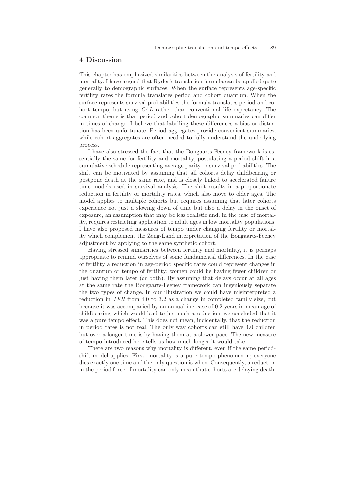# **4 Discussion**

This chapter has emphasized similarities between the analysis of fertility and mortality. I have argued that Ryder's translation formula can be applied quite generally to demographic surfaces. When the surface represents age-specific fertility rates the formula translates period and cohort quantum. When the surface represents survival probabilities the formula translates period and cohort tempo, but using CAL rather than conventional life expectancy. The common theme is that period and cohort demographic summaries can differ in times of change. I believe that labelling these differences a bias or distortion has been unfortunate. Period aggregates provide convenient summaries, while cohort aggregates are often needed to fully understand the underlying process.

I have also stressed the fact that the Bongaarts-Feeney framework is essentially the same for fertility and mortality, postulating a period shift in a cumulative schedule representing average parity or survival probabilities. The shift can be motivated by assuming that all cohorts delay childbearing or postpone death at the same rate, and is closely linked to accelerated failure time models used in survival analysis. The shift results in a proportionate reduction in fertility or mortality rates, which also move to older ages. The model applies to multiple cohorts but requires assuming that later cohorts experience not just a slowing down of time but also a delay in the onset of exposure, an assumption that may be less realistic and, in the case of mortality, requires restricting application to adult ages in low mortality populations. I have also proposed measures of tempo under changing fertility or mortality which complement the Zeng-Land interpretation of the Bongaarts-Feeney adjustment by applying to the same synthetic cohort.

Having stressed similarities between fertility and mortality, it is perhaps appropriate to remind ourselves of some fundamental differences. In the case of fertility a reduction in age-period specific rates could represent changes in the quantum or tempo of fertility: women could be having fewer children or just having them later (or both). By assuming that delays occur at all ages at the same rate the Bongaarts-Feeney framework can ingeniously separate the two types of change. In our illustration we could have misinterpreted a reduction in TFR from 4.0 to 3.2 as a change in completed family size, but because it was accompanied by an annual increase of 0.2 years in mean age of childbearing–which would lead to just such a reduction–we concluded that it was a pure tempo effect. This does not mean, incidentally, that the reduction in period rates is not real. The only way cohorts can still have 4.0 children but over a longer time is by having them at a slower pace. The new measure of tempo introduced here tells us how much longer it would take.

There are two reasons why mortality is different, even if the same periodshift model applies. First, mortality is a pure tempo phenomenon; everyone dies exactly one time and the only question is when. Consequently, a reduction in the period force of mortality can only mean that cohorts are delaying death.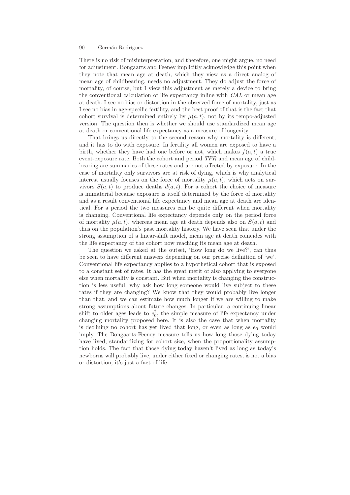There is no risk of misinterpretation, and therefore, one might argue, no need for adjustment. Bongaarts and Feeney implicitly acknowledge this point when they note that mean age at death, which they view as a direct analog of mean age of childbearing, needs no adjustment. They do adjust the force of mortality, of course, but I view this adjustment as merely a device to bring the conventional calculation of life expectancy inline with CAL or mean age at death. I see no bias or distortion in the observed force of mortality, just as I see no bias in age-specific fertility, and the best proof of that is the fact that cohort survival is determined entirely by  $\mu(a, t)$ , not by its tempo-adjusted version. The question then is whether we should use standardized mean age at death or conventional life expectancy as a measure of longevity.

That brings us directly to the second reason why mortality is different, and it has to do with exposure. In fertility all women are exposed to have a birth, whether they have had one before or not, which makes  $f(a, t)$  a true event-exposure rate. Both the cohort and period TFR and mean age of childbearing are summaries of these rates and are not affected by exposure. In the case of mortality only survivors are at risk of dying, which is why analytical interest usually focuses on the force of mortality  $\mu(a, t)$ , which acts on survivors  $S(a, t)$  to produce deaths  $d(a, t)$ . For a cohort the choice of measure is immaterial because exposure is itself determined by the force of mortality and as a result conventional life expectancy and mean age at death are identical. For a period the two measures can be quite different when mortality is changing. Conventional life expectancy depends only on the period force of mortality  $\mu(a, t)$ , whereas mean age at death depends also on  $S(a, t)$  and thus on the population's past mortality history. We have seen that under the strong assumption of a linear-shift model, mean age at death coincides with the life expectancy of the cohort now reaching its mean age at death.

The question we asked at the outset, 'How long do we live?', can thus be seen to have different answers depending on our precise definition of 'we'. Conventional life expectancy applies to a hypothetical cohort that is exposed to a constant set of rates. It has the great merit of also applying to everyone else when mortality is constant. But when mortality is changing the construction is less useful; why ask how long someone would live subject to these rates if they are changing? We know that they would probably live longer than that, and we can estimate how much longer if we are willing to make strong assumptions about future changes. In particular, a continuing linear shift to older ages leads to  $e_0^{\dagger}$ , the simple measure of life expectancy under changing mortality proposed here. It is also the case that when mortality is declining no cohort has yet lived that long, or even as long as  $e_0$  would imply. The Bongaarts-Feeney measure tells us how long those dying today have lived, standardizing for cohort size, when the proportionality assumption holds. The fact that those dying today haven't lived as long as today's newborns will probably live, under either fixed or changing rates, is not a bias or distortion; it's just a fact of life.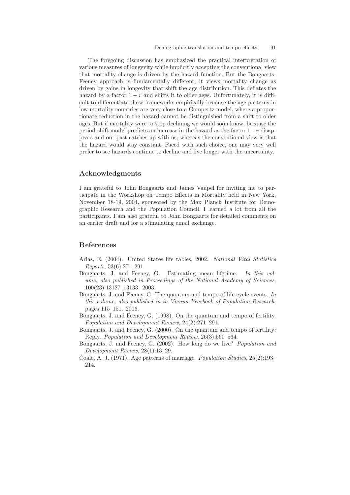The foregoing discussion has emphasized the practical interpretation of various measures of longevity while implicitly accepting the conventional view that mortality change is driven by the hazard function. But the Bongaarts-Feeney approach is fundamentally different; it views mortality change as driven by gains in longevity that shift the age distribution. This deflates the hazard by a factor  $1 - r$  and shifts it to older ages. Unfortunately, it is difficult to differentiate these frameworks empirically because the age patterns in low-mortality countries are very close to a Gompertz model, where a proportionate reduction in the hazard cannot be distinguished from a shift to older ages. But if mortality were to stop declining we would soon know, because the period-shift model predicts an increase in the hazard as the factor  $1-r$  disappears and our past catches up with us, whereas the conventional view is that the hazard would stay constant. Faced with such choice, one may very well prefer to see hazards continue to decline and live longer with the uncertainty.

# **Acknowledgments**

I am grateful to John Bongaarts and James Vaupel for inviting me to participate in the Workshop on Tempo Effects in Mortality held in New York, November 18-19, 2004, sponsored by the Max Planck Institute for Demographic Research and the Population Council. I learned a lot from all the participants. I am also grateful to John Bongaarts for detailed comments on an earlier draft and for a stimulating email exchange.

# **References**

- Arias, E. (2004). United States life tables, 2002. National Vital Statistics Reports, 53(6):271–291.
- Bongaarts, J. and Feeney, G. Estimating mean lifetime. In this volume, also published in Proceedings of the National Academy of Sciences, 100(23):13127–13133. 2003.
- Bongaarts, J. and Feeney, G. The quantum and tempo of life-cycle events. In this volume, also published in in Vienna Yearbook of Population Research, pages 115–151. 2006.
- Bongaarts, J. and Feeney, G. (1998). On the quantum and tempo of fertility. Population and Development Review, 24(2):271–291.
- Bongaarts, J. and Feeney, G. (2000). On the quantum and tempo of fertility: Reply. Population and Development Review, 26(3):560–564.
- Bongaarts, J. and Feeney, G. (2002). How long do we live? Population and Development Review, 28(1):13–29.
- Coale, A. J. (1971). Age patterns of marriage. Population Studies, 25(2):193– 214.